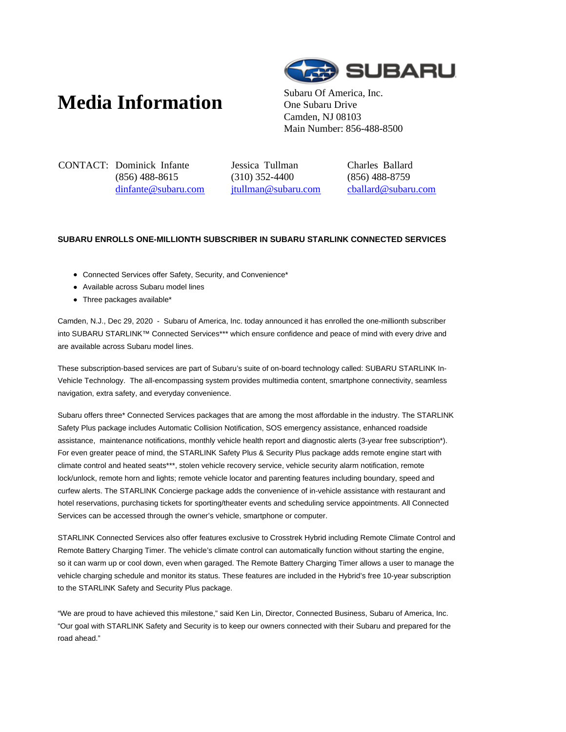## **Media Information** Subaru Of America, Inc.



One Subaru Drive Camden, NJ 08103 Main Number: 856-488-8500

CONTACT: Dominick Infante (856) 488-8615 dinfante@subaru.com Jessica Tullman (310) 352-4400 jtullman@subaru.com Charles Ballard (856) 488-8759 cballard@subaru.com

## **SUBARU ENROLLS ONE-MILLIONTH SUBSCRIBER IN SUBARU STARLINK CONNECTED SERVICES**

- Connected Services offer Safety, Security, and Convenience\*
- Available across Subaru model lines
- Three packages available\*

Camden, N.J., Dec 29, 2020 - Subaru of America, Inc. today announced it has enrolled the one-millionth subscriber into SUBARU STARLINK™ Connected Services\*\*\* which ensure confidence and peace of mind with every drive and are available across Subaru model lines.

These subscription-based services are part of Subaru's suite of on-board technology called: SUBARU STARLINK In-Vehicle Technology. The all-encompassing system provides multimedia content, smartphone connectivity, seamless navigation, extra safety, and everyday convenience.

Subaru offers three\* Connected Services packages that are among the most affordable in the industry. The STARLINK Safety Plus package includes Automatic Collision Notification, SOS emergency assistance, enhanced roadside assistance, maintenance notifications, monthly vehicle health report and diagnostic alerts (3-year free subscription\*). For even greater peace of mind, the STARLINK Safety Plus & Security Plus package adds remote engine start with climate control and heated seats\*\*\*, stolen vehicle recovery service, vehicle security alarm notification, remote lock/unlock, remote horn and lights; remote vehicle locator and parenting features including boundary, speed and curfew alerts. The STARLINK Concierge package adds the convenience of in-vehicle assistance with restaurant and hotel reservations, purchasing tickets for sporting/theater events and scheduling service appointments. All Connected Services can be accessed through the owner's vehicle, smartphone or computer.

STARLINK Connected Services also offer features exclusive to Crosstrek Hybrid including Remote Climate Control and Remote Battery Charging Timer. The vehicle's climate control can automatically function without starting the engine, so it can warm up or cool down, even when garaged. The Remote Battery Charging Timer allows a user to manage the vehicle charging schedule and monitor its status. These features are included in the Hybrid's free 10-year subscription to the STARLINK Safety and Security Plus package.

"We are proud to have achieved this milestone," said Ken Lin, Director, Connected Business, Subaru of America, Inc. "Our goal with STARLINK Safety and Security is to keep our owners connected with their Subaru and prepared for the road ahead."